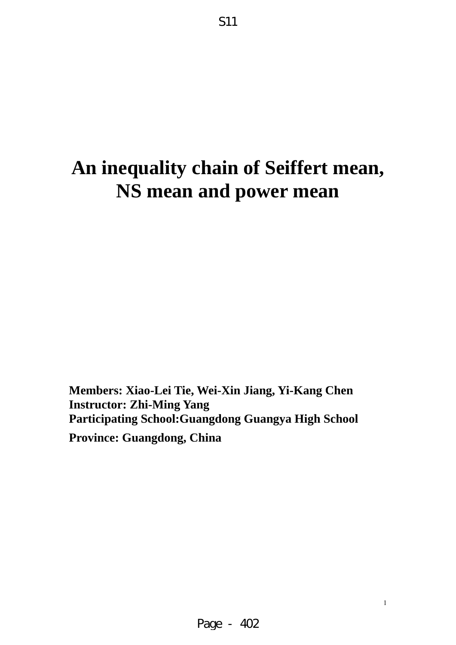# **An inequality chain of Seiffert mean, NS mean and power mean**

S11

**Members: Xiao-Lei Tie, Wei-Xin Jiang, Yi-Kang Chen Instructor: Zhi-Ming Yang Participating School:Guangdong Guangya High School Province: Guangdong, China**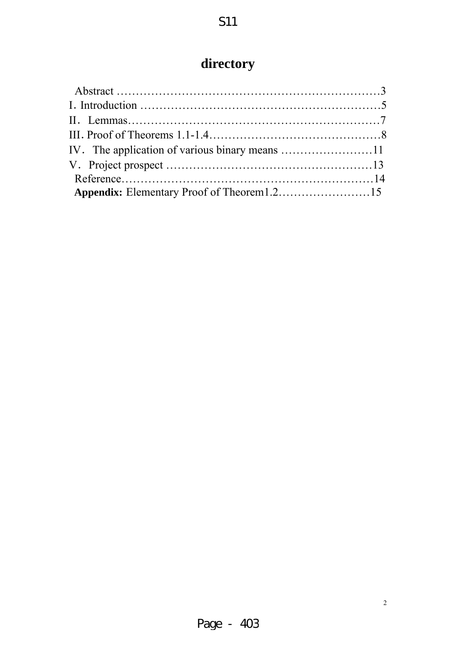# **directory**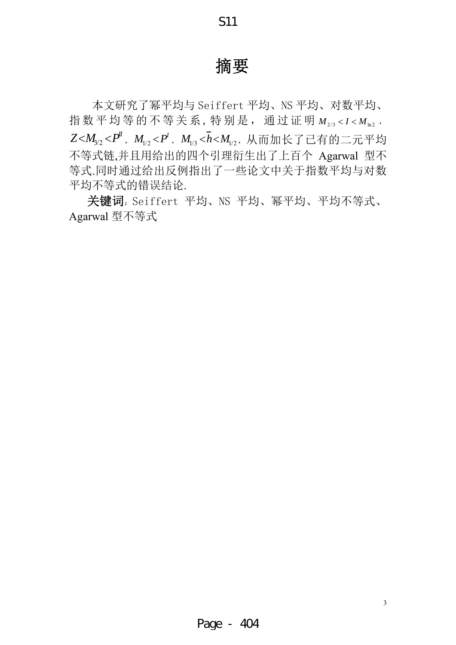## 摘要

S11

本文研究了幂平均与 Seiffert 平均、NS 平均、对数平均、 指数平均等的不等关系,特别是,通过证明  $M_{2/3}$ <I< $M_{\text{ln}2}$ ,  $Z$ < $M_{\scriptscriptstyle{3/2}}$ < $P^{\prime}$ , $M_{\scriptscriptstyle{1/2}}$ < $P^{\prime}$ , $M_{\scriptscriptstyle{1/3}}$ < $\bar{h}$ < $M_{\scriptscriptstyle{1/2}}$ , 从而加长了已有的二元平均 不等式链,并且用给出的四个引理衍生出了上百个 Agarwal 型不 等式.同时通过给出反例指出了一些论文中关于指数平均与对数 平均不等式的错误结论.

 关键词:Seiffert 平均、NS 平均、幂平均、平均不等式、 Agarwal 型不等式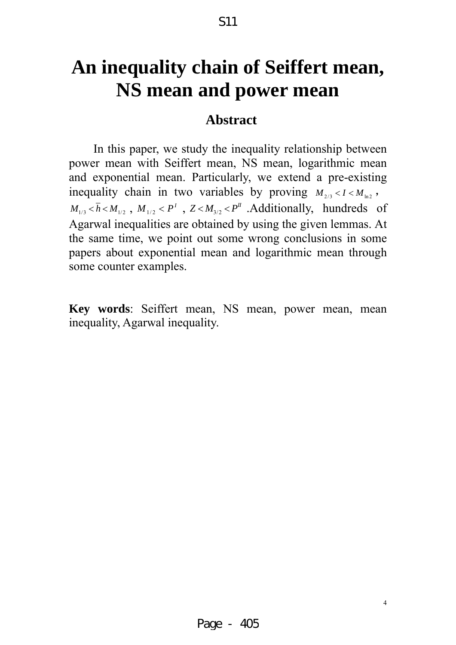# **An inequality chain of Seiffert mean, NS mean and power mean**

S11

### **Abstract**

In this paper, we study the inequality relationship between power mean with Seiffert mean, NS mean, logarithmic mean and exponential mean. Particularly, we extend a pre-existing inequality chain in two variables by proving  $M_{2/3}$  <  $I$  <  $M_{\text{ln}2}$ ,  $M_{1/3}$  <  $\overline{h}$  <  $M_{1/2}$ ,  $M_{1/2}$  <  $P<sup>T</sup>$ ,  $Z < M_{3/2}$  <  $P<sup>T</sup>$ . Additionally, hundreds of Agarwal inequalities are obtained by using the given lemmas. At the same time, we point out some wrong conclusions in some papers about exponential mean and logarithmic mean through some counter examples.

**Key words**: Seiffert mean, NS mean, power mean, mean inequality, Agarwal inequality.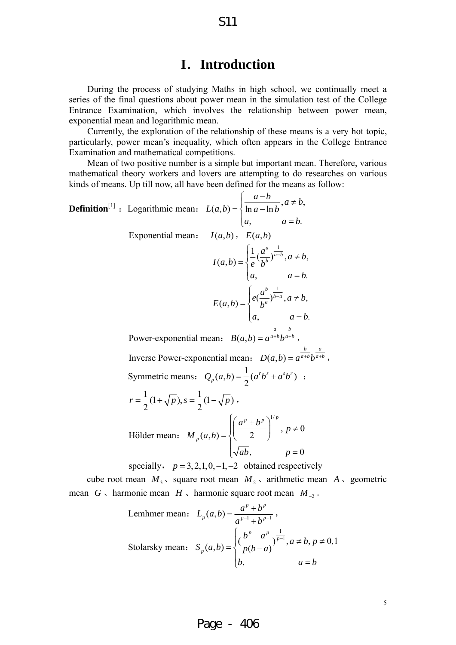### **I**.**Introduction**

S11

During the process of studying Maths in high school, we continually meet a series of the final questions about power mean in the simulation test of the College Entrance Examination, which involves the relationship between power mean, exponential mean and logarithmic mean.

Currently, the exploration of the relationship of these means is a very hot topic, particularly, power mean's inequality, which often appears in the College Entrance Examination and mathematical competitions.

Mean of two positive number is a simple but important mean. Therefore, various mathematical theory workers and lovers are attempting to do researches on various kinds of means. Up till now, all have been defined for the means as follow:

**Definition**<sup>[1]</sup>: Logarithmic mean: 
$$
L(a,b) = \begin{cases} \frac{a-b}{\ln a - \ln b}, a \neq b, \\ a, \quad a = b. \end{cases}
$$
  
\nExponential mean:  $I(a,b), E(a,b)$   
\n
$$
I(a,b) = \begin{cases} \frac{1}{e} (\frac{a^a}{b^b})^{\frac{1}{a-b}}, a \neq b, \\ a, \quad a = b. \end{cases}
$$
\n
$$
E(a,b) = \begin{cases} e(\frac{a^b}{b^a})^{\frac{1}{b-a}}, a \neq b, \\ a, \quad a = b. \end{cases}
$$
\nPower-exponential mean:  $B(a,b) = a^{\frac{a}{a+b}}b^{\frac{b}{a+b}},$   
\nInverse Power-exponential mean:  $D(a,b) = a^{\frac{b}{a+b}}b^{\frac{a}{a+b}},$   
\nSymmetric means:  $Q_p(a,b) = \frac{1}{2}(a^rb^s + a^sb^r)$ ;  
\n
$$
r = \frac{1}{2}(1+\sqrt{p}), s = \frac{1}{2}(1-\sqrt{p}),
$$
\nHölder mean:  $M_p(a,b) = \begin{cases} \frac{a^p + b^p}{2} \end{cases}^{\frac{1}{p}}, p \neq 0 \end{cases}$ 

specially,  $p = 3, 2, 1, 0, -1, -2$  obtained respectively cube root mean  $M_3$ , square root mean  $M_2$ , arithmetic mean  $A$ , geometric mean *G* 、harmonic mean *H* 、harmonic square root mean *M*<sup>−</sup><sup>2</sup> .

Lemhmer mean: 
$$
L_p(a,b) = \frac{a^p + b^p}{a^{p-1} + b^{p-1}}
$$
,  
\nStolarsky mean:  $S_p(a,b) = \begin{cases} \left(\frac{b^p - a^p}{p(b-a)}\right)^{\frac{1}{p-1}}, a \neq b, p \neq 0, 1\\ b, \quad a = b \end{cases}$ 

#### Page - 406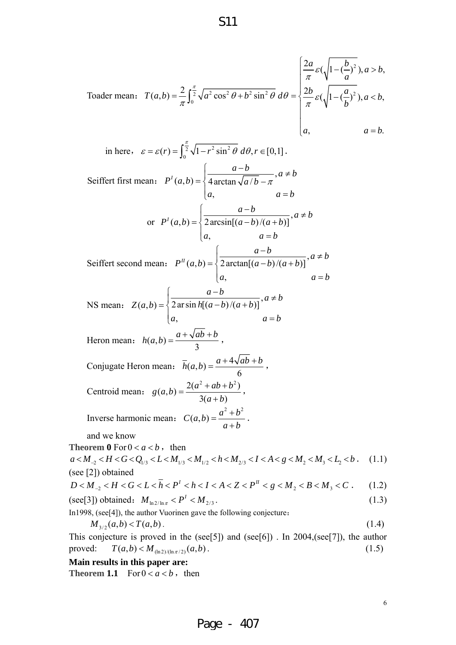Toader mean: 
$$
T(a,b) = \frac{2}{\pi} \int_0^{\frac{\pi}{2}} \sqrt{a^2 \cos^2 \theta + b^2 \sin^2 \theta} \, d\theta = \begin{cases} \frac{2a}{\pi} \varepsilon (\sqrt{1 - (\frac{b}{a})^2}), a > b, \\ \frac{2b}{\pi} \varepsilon (\sqrt{1 - (\frac{a}{b})^2}), a < b, \\ a, \end{cases}
$$

in here,  $\varepsilon = \varepsilon(r) = \int_0^{\frac{\pi}{2}} \sqrt{1 - r^2 \sin^2 \theta} d\theta, r \in [0,1].$ Seiffert first mean:  $P'(a,b) = \begin{cases} \frac{a}{4 \arctan \sqrt{a/b} - \pi}, \end{cases}$ ,  $\frac{a-b}{a}$ ,  $a \neq b$  $P^{I}(a,b) = \frac{1}{2} 4 \arctan \sqrt{a/b}$  $a, a = b$  $=\begin{cases} \frac{a-b}{4\arctan\sqrt{a/b}-\pi},a\neq 0\end{cases}$  $\begin{cases} a, & a = \end{cases}$ or  $P'(a,b) = \left\{\frac{a}{2\arcsin[(a-b)/(a+b)]}\right\}$ ,  $\int \frac{a-b}{2\arcsin[(a-b)/(a+b)]}, a \neq b$  $P^{I}(a,b) = \frac{1}{2} \arcsin[(a-b)/(a+b)]$ *a*,  $a = b$  $=\left\{\frac{a-b}{2\arcsin[(a-b)/(a+b)]}, a\neq\right\}$  $\begin{cases} a, & a = \end{cases}$ Seiffert second mean:  $P^{II}(a,b) = \begin{cases} \frac{a}{2\arctan[(a-b)/(a+b)]}, \end{cases}$ ,  $\int \frac{a-b}{2\arctan[(a-b)/(a+b)]}, a \neq b$  $P^{II}(a,b) = \frac{1}{2}$  arctan $[(a-b)/(a+b)]$ *a*,  $a = b$  $=\left\{\frac{a-b}{2\arctan[(a-b)/(a+b)]}, a\neq\right\}$  $\begin{cases} a, & a = \end{cases}$ NS mean:  $Z(a,b) = \sqrt{\frac{a^2 b^2}{2 \arcsin h[(a-b)/(a+b)]}}$ ,  $\frac{a-b}{a+b}$ ,  $a \neq b$  $Z(a,b) = \frac{1}{2}$  ar sin  $h[(a-b)/(a+b)]$ *a*,  $a = b$  $=\left\{\frac{a-b}{2 \ar \sin h[(a-b)/(a+b)]}, a \neq \frac{a-b}{2 \ar \sin h[(a-b)/(a+b)]}\right\}$  $\begin{cases} a, & a = \end{cases}$ Heron mean:  $h(a,b) = \frac{a + \sqrt{ab + b}}{3}$ , Conjugate Heron mean:  $\bar{h}(a,b) = \frac{a + 4\sqrt{ab + b}}{6}$ , Centroid mean:  $g(a,b) = \frac{2(a^2+ab+b^2)}{3(a+b)},$ Inverse harmonic mean:  $C(a,b) = \frac{a^2 + b^2}{b^2}$  $=\frac{a^2+b^2}{a+b}$ . and we know **Theorem 0** For  $0 < a < b$ , then  $a < M_{-2} < H < G < Q_{1/3} < L < M_{1/3} < M_{1/2} < h < M_{2/3} < I < A < g < M_{2} < M_{3} < L_{2} < b$ . (1.1) (see [2]) obtained  $D < M_{-2} < H < G < L < \overline{h} < P^1 < h < I < A < Z < P^{\prime\prime} < g < M_2 < B < M_3 < C$  . (1.2)

(see [3]) obtained: 
$$
M_{\ln 2/\ln \pi} < P^I < M_{2/3}
$$
. (1.3)

In1998, (see[4]), the author Vuorinen gave the following conjecture:

$$
M_{3/2}(a,b) < T(a,b) \tag{1.4}
$$

This conjecture is proved in the (see[5]) and (see[6]). In  $2004$ , (see[7]), the author proved:  $T(a,b) < M_{\frac{\ln 2}{\ln x/2}}(a,b)$ . (1.5)

**Main results in this paper are:**

**Theorem 1.1** For  $0 < a < b$ , then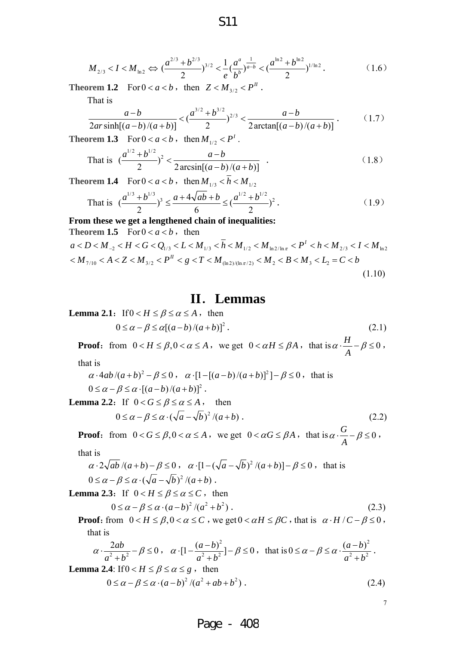$$
M_{2/3} < I < M_{\ln 2} \Leftrightarrow \left(\frac{a^{2/3} + b^{2/3}}{2}\right)^{3/2} < \frac{1}{e} \left(\frac{a^a}{b^b}\right)^{\frac{1}{a-b}} < \left(\frac{a^{\ln 2} + b^{\ln 2}}{2}\right)^{1/\ln 2} \tag{1.6}
$$

**Theorem 1.2** For  $0 < a < b$ , then  $Z < M_{3/2} < P^{\prime\prime}$ .

That is

$$
\frac{a-b}{2ar\sinh[(a-b)/(a+b)]} < \left(\frac{a^{3/2}+b^{3/2}}{2}\right)^{2/3} < \frac{a-b}{2\arctan[(a-b)/(a+b)]}. \tag{1.7}
$$

**Theorem 1.3** For  $0 < a < b$ , then  $M_{1/2} < P^1$ .

That is 
$$
\left(\frac{a^{1/2} + b^{1/2}}{2}\right)^2 < \frac{a - b}{2 \arcsin[(a - b)/(a + b)]}
$$
. (1.8)

**Theorem 1.4** For  $0 < a < b$ , then  $M_{1/3} < \bar{h} < M_{1/2}$ 

That is 
$$
\left(\frac{a^{1/3} + b^{1/3}}{2}\right)^3 \le \frac{a + 4\sqrt{ab} + b}{6} \le \left(\frac{a^{1/2} + b^{1/2}}{2}\right)^2
$$
. (1.9)

**From these we get a lengthened chain of inequalities:**   $\mathbf{H} = \mathbf{E} \mathbf{r}$ 

Theorem 1.5 For 
$$
0 < a < b
$$
, then  
\n
$$
a < D < M_{-2} < H < G < Q_{1/3} < L < M_{1/3} < \bar{h} < M_{1/2} < M_{\ln 2/\ln \pi} < P^1 < h < M_{2/3} < I < M_{\ln 2}
$$
\n
$$
\langle M_{7/10} < A < Z < M_{3/2} < P^{\text{II}} < g < T < M_{(\ln 2)/(\ln \pi/2)} < M_2 < B < M_3 < L_2 = C < b \tag{1.10}
$$

### **II**.**Lemmas**

**Lemma 2.1:** If  $0 < H \le \beta \le \alpha \le A$ , then

$$
0 \le \alpha - \beta \le \alpha [(a - b)/(a + b)]^2. \tag{2.1}
$$

**Proof:** from  $0 < H \le \beta, 0 < \alpha \le A$ , we get  $0 < \alpha H \le \beta A$ , that is  $\alpha \cdot \frac{H}{A} - \beta \le 0$ ,

that is

$$
\alpha \cdot 4ab/(a+b)^2 - \beta \le 0, \quad \alpha \cdot [1-[(a-b)/(a+b)]^2] - \beta \le 0, \text{ that is } 0 \le \alpha - \beta \le \alpha \cdot [(a-b)/(a+b)]^2.
$$

**Lemma 2.2:** If  $0 < G \le \beta \le \alpha \le A$ , then

$$
0 \le \alpha - \beta \le \alpha \cdot (\sqrt{a} - \sqrt{b})^2 / (a + b) \,. \tag{2.2}
$$

**Proof:** from  $0 < G \le \beta, 0 < \alpha \le A$ , we get  $0 < \alpha G \le \beta A$ , that is  $\alpha \cdot \frac{G}{A} - \beta \le 0$ , that is

$$
\alpha \cdot 2\sqrt{ab}/(a+b) - \beta \le 0, \quad \alpha \cdot [1 - (\sqrt{a} - \sqrt{b})^2/(a+b)] - \beta \le 0, \text{ that is}
$$
  
 
$$
0 \le \alpha - \beta \le \alpha \cdot (\sqrt{a} - \sqrt{b})^2/(a+b).
$$

**Lemma 2.3:** If  $0 < H \le \beta \le \alpha \le C$ , then

$$
0 \le \alpha - \beta \le \alpha \cdot (a - b)^2 / (a^2 + b^2) \,. \tag{2.3}
$$

**Proof**: from  $0 < H \le \beta$ ,  $0 < \alpha \le C$ , we get  $0 < \alpha H \le \beta C$ , that is  $\alpha \cdot H / C - \beta \le 0$ , that is

$$
\alpha \cdot \frac{2ab}{a^2 + b^2} - \beta \le 0 \,, \quad \alpha \cdot \left[ 1 - \frac{(a-b)^2}{a^2 + b^2} \right] - \beta \le 0 \,, \text{ that is } 0 \le \alpha - \beta \le \alpha \cdot \frac{(a-b)^2}{a^2 + b^2} \,.
$$

**Lemma 2.4**: If  $0 < H \le \beta \le \alpha \le g$ , then

$$
0 \le \alpha - \beta \le \alpha \cdot (a - b)^2 / (a^2 + ab + b^2) \tag{2.4}
$$

Page - 408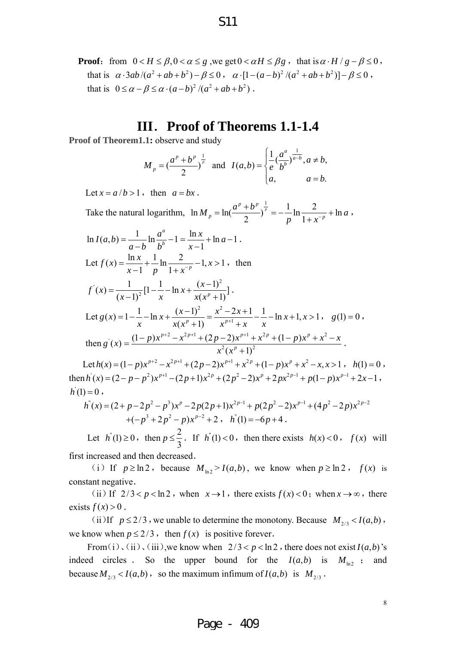S11

#### **III**.**Proof of Theorems 1.1-1.4**

**Proof of Theorem1.1:** observe and study

$$
M_p = \left(\frac{a^p + b^p}{2}\right)^{\frac{1}{p}}
$$
 and  $I(a, b) = \begin{cases} \frac{1}{e} \left(\frac{a^a}{b^b}\right)^{\frac{1}{a-b}}, a \neq b, \\ a, \end{cases}$   
 $a = b.$ 

Let  $x = a/b > 1$ , then  $a = bx$ .

Take the natural logarithm,  $\ln M_p = \ln \left( \frac{a^p + b^p}{2} \right)^{\frac{1}{p}} = -\frac{1}{p} \ln \frac{2}{1 + x^{-p}} + \ln \frac{2}{1 + x^{-p}}$  $p^p + b^p$ ,  $\frac{1}{p}$  $M_p = \ln\left(\frac{a^p + b^p}{2}\right)^{\frac{1}{p}} = -\frac{1}{p} \ln\frac{2}{1 + b^2} + \ln a$  $p$   $\frac{m}{1+x}$  $= \ln \left( \frac{a^p + b^p}{2} \right)^{\frac{1}{p}} = -\frac{1}{p} \ln \frac{2}{1 + x^{-p}} + \ln a$ ,

$$
\ln I(a,b) = \frac{1}{a-b} \ln \frac{a^a}{b^b} - 1 = \frac{\ln x}{x-1} + \ln a - 1.
$$
  
Let  $f(x) = \frac{\ln x}{x-1} + \frac{1}{p} \ln \frac{2}{1+x^{-p}} - 1, x > 1$ , then  

$$
f'(x) = \frac{1}{(x-1)^2} [1 - \frac{1}{x} - \ln x + \frac{(x-1)^2}{x(x^p+1)}].
$$
  
Let  $g(x) = 1 - \frac{1}{x} - \ln x + \frac{(x-1)^2}{x(x^p+1)} = \frac{x^2 - 2x + 1}{x^{p+1} + x} - \frac{1}{x} - \ln x + 1, x > 1$ ,  $g(1) = 0$ ,  
then  $g'(x) = \frac{(1-p)x^{p+2} - x^{2p+1} + (2p-2)x^{p+1} + x^{2p} + (1-p)x^p + x^2 - x}{x^2(x^p+1)^2}$ .

Let  $h(x) = (1-p)x^{p+2} - x^{2p+1} + (2p-2)x^{p+1} + x^{2p} + (1-p)x^p + x^2 - x, x > 1$ ,  $h(1) = 0$ , then  $h'(x) = (2 - p - p^2)x^{p+1} - (2p+1)x^{2p} + (2p^2-2)x^p + 2px^{2p-1} + p(1-p)x^{p-1} + 2x - 1$ ,  $h(1) = 0,$ 

$$
h''(x) = (2+p-2p^2-p^3)x^p - 2p(2p+1)x^{2p-1} + p(2p^2-2)x^{p-1} + (4p^2-2p)x^{2p-2} + (-p^3+2p^2-p)x^{p-2} + 2, \quad h''(1) = -6p+4.
$$

Let  $h''(1) \ge 0$ , then  $p \le \frac{2}{3}$ . If  $h''(1) < 0$ , then there exists  $h(x) < 0$ ,  $f(x)$  will

first increased and then decreased.

(i) If  $p \ge \ln 2$ , because  $M_{\ln 2} > I(a,b)$ , we know when  $p \ge \ln 2$ ,  $f(x)$  is constant negative.

(ii) If  $2/3 < p < \ln 2$ , when  $x \to 1$ , there exists  $f(x) < 0$ ; when  $x \to \infty$ , there exists  $f(x) > 0$ .

(ii)If  $p \le 2/3$ , we unable to determine the monotony. Because  $M_{2/3} < I(a,b)$ , we know when  $p \leq 2/3$ , then  $f(x)$  is positive forever.

From(i), (ii), (iii), we know when  $2/3 < p < \ln 2$ , there does not exist  $I(a, b)$ 's indeed circles . So the upper bound for the  $I(a,b)$  is  $M_{\text{ln}2}$  ; and because  $M_{2/3}$  <  $I(a,b)$ , so the maximum infimum of  $I(a,b)$  is  $M_{2/3}$ .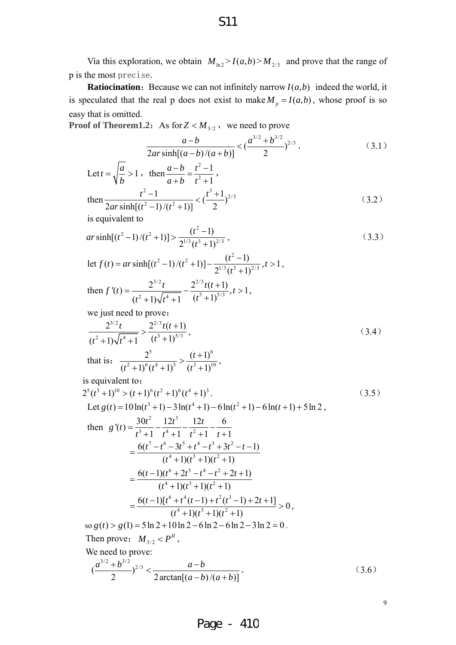Via this exploration, we obtain  $M_{\text{ln}2} > I(a,b) > M_{2/3}$  and prove that the range of p is the most precise.

**Ratiocination:** Because we can not infinitely narrow  $I(a,b)$  indeed the world, it is speculated that the real p does not exist to make  $M_p = I(a,b)$ , whose proof is so easy that is omitted.

**Proof of Theorem1.2:** As for  $Z < M_{3/2}$ , we need to prove

$$
\frac{a-b}{2ar\sinh[(a-b)/(a+b)]} < \left(\frac{a^{3/2} + b^{3/2}}{2}\right)^{2/3}.
$$
 (3.1)

Let 
$$
t = \sqrt{\frac{a}{b}} > 1
$$
, then  $\frac{a-b}{a+b} = \frac{t^2 - 1}{t^2 + 1}$ ,  
then  $\frac{t^2 - 1}{2ar \sinh[(t^2 - 1)/(t^2 + 1)]} < (\frac{t^3 + 1}{2})^{2/3}$  (3.2)

is equivalent to

$$
ar\sinh[(t^2-1)/(t^2+1)] > \frac{(t^2-1)}{2^{1/3}(t^3+1)^{2/3}},
$$
\n(3.3)

let 2 1)  $/(t^2+1)$   $(t^2$  $f(t) = ar \sinh[(t^2 - 1)/(t^2 + 1)] - \frac{(t^2 - 1)}{2^{1/3}(t^3 + 1)^{2/3}}, t > 1$ *t*  $= ar \sinh[(t^2-1)/(t^2+1)] - \frac{(t^2-1)}{2^{1/3}(t^3+1)^{2/3}}, t>1,$ 

then 
$$
f'(t) = \frac{2^{3/2}t}{(t^2+1)\sqrt{t^4+1}} - \frac{2^{2/3}t(t+1)}{(t^3+1)^{5/3}}, t > 1,
$$

we just need to prove:

$$
\frac{2^{3/2}t}{(t^2+1)\sqrt{t^4+1}} > \frac{2^{2/3}t(t+1)}{(t^3+1)^{5/3}},
$$
\nthat is:

\n
$$
\frac{2^5}{(t^2+1)^6(t^4+1)^3} > \frac{(t+1)^6}{(t^3+1)^{10}},
$$
\n(3.4)

is equivalent to:

$$
2^{5}(t^{3}+1)^{10} > (t+1)^{6}(t^{2}+1)^{6}(t^{4}+1)^{3}.
$$
\n
$$
Let g(t) = 10 \ln(t^{3}+1) - 3 \ln(t^{4}+1) - 6 \ln(t^{2}+1) - 6 \ln(t+1) + 5 \ln 2,
$$
\nthen  $g'(t) = \frac{30t^{2}}{t^{3}+1} - \frac{12t^{3}}{t^{4}+1} - \frac{6}{t^{2}+1} - \frac{6}{t+1}$ \n
$$
= \frac{6(t^{7}-t^{6}-3t^{5}+t^{4}-t^{3}+3t^{2}-t-1)}{(t^{4}+1)(t^{3}+1)(t^{2}+1)}
$$
\n
$$
= \frac{6(t-1)(t^{6}+2t^{5}-t^{4}-t^{2}+2t+1)}{(t^{4}+1)(t^{3}+1)(t^{2}+1)}
$$
\n
$$
= \frac{6(t-1)[t^{6}+t^{4}(t-1)+t^{2}(t^{3}-1)+2t+1]}{(t^{4}+1)(t^{3}+1)(t^{2}+1)} > 0,
$$
\nso  $g(t) > g(1) = 5 \ln 2 + 10 \ln 2 - 6 \ln 2 - 6 \ln 2 - 3 \ln 2 = 0.$ \nThen prove:  $M_{3/2} < P^{II}$ ,  
\nWe need to prove:  
\n
$$
\frac{(a^{3/2}+b^{3/2})^{2/3}}{2} < \frac{a-b}{2 \arctan[(a-b)/(a+b)]}.
$$
\n(3.6)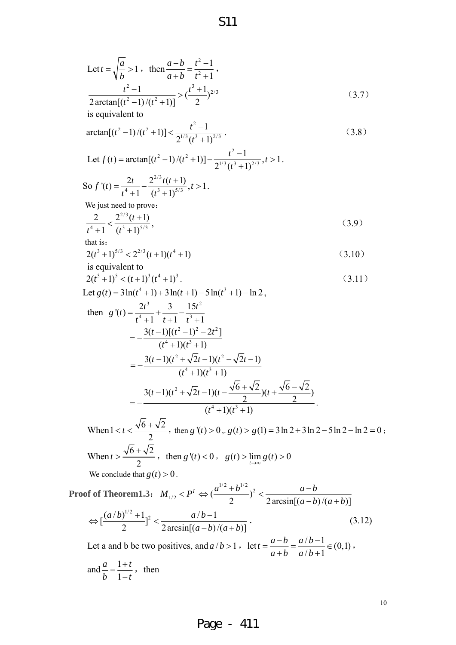Let 
$$
t = \sqrt{\frac{a}{b}} > 1
$$
, then  $\frac{a-b}{a+b} = \frac{t^2-1}{t^2+1}$ ,  
\n $\frac{t^2-1}{2 \arctan[(t^2-1)/(t^2+1)]} > (\frac{t^3+1}{2})^{2/3}$  (3.7)  
\nis equivalent to  
\n $\arctan[(t^2-1)/(t^2+1)] < \frac{t^2-1}{2^{1/3}(t^3+1)^{2/3}}$ , (3.8)  
\nLet  $f(t) = \arctan[(t^2-1)/(t^2+1)] = \frac{t^2-1}{2^{1/3}(t^3+1)^{2/3}}$ ,  $t > 1$ .  
\nSo  $f'(t) = \frac{2t}{t^4+1} - \frac{2^{2/3}(t+1)}{(t^2+1)^{5/3}}$ ,  $t > 1$ .  
\nWe just need to prove:  
\n $\frac{2}{t^4+1} < \frac{2^{2/3}(t+1)}{(t^3+1)^{5/3}}$ ,  $t > 1$ .  
\nWe just need to prove:  
\n $\frac{2}{t^4+1} < \frac{2^{2/3}(t+1)}{(t^3+1)^{5/3}}$ , (3.9)  
\n $t^4+1 = \frac{t^3}{t^3+1}$ , (3.10)  
\nis equivalent to  
\n $2(t^3+1)^5 < 2^{2/3}(t+1)(t^4+1)^3$ . (3.11)  
\nLet  $g(t) = 3\ln(t^4+1) + 3\ln(t+1) - 5\ln(t^3+1) - \ln 2$ ,  
\nthen  $g'(t) = \frac{2t^3}{t^4+1} + \frac{3}{t^2+1} - \frac{1}{t^2+1}$   
\n $= -\frac{3(t-1)(t^2+ \sqrt{2}t-1)(t^2 - \sqrt{2}t-1)}{(t^4+1)(t^3+1)}$   
\n $= -\frac{3(t-1)(t^2 + \sqrt{2}t-1)(t-\sqrt{6}+\sqrt{2})}{(t^4+1)(t^3+1)}$   
\nWhen  $1 < t < \frac{\sqrt{6}+\sqrt{2}}{2}$ , then  $g'(t) > 0$ ,  $g(t) > g(1) = 3$ 

S11

Let a and b be two positives, and  $a/b > 1$ ,  $\text{let } t = \frac{a-b}{a+b} = \frac{a/b-1}{a/b+1} \in (0,1)$  $a + b$   $a/b$  $=\frac{a-b}{a+b}=\frac{a/b-1}{a/b+1}\in (0,1)$ , and  $\frac{a}{1} = \frac{1}{1}$ 1  $a \quad 1+t$  $\frac{a}{b} = \frac{1+t}{1-t}$ , then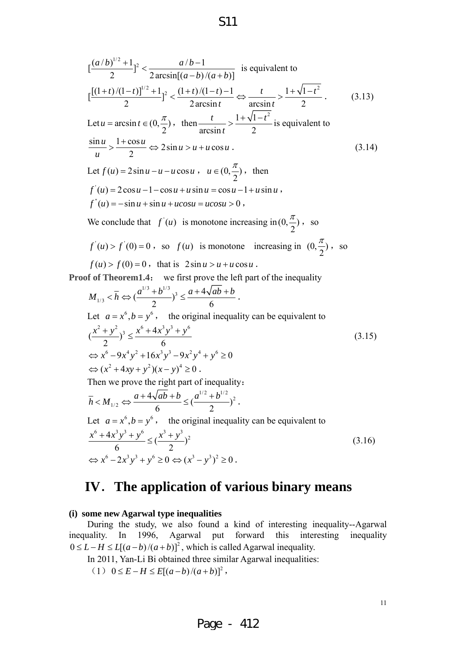$$
\left[\frac{(a/b)^{1/2}+1}{2}\right]^2 < \frac{a/b-1}{2\arcsin[(a-b)/(a+b)]} \text{ is equivalent to}
$$
\n
$$
\left[\frac{[(1+t)/(1-t)]^{1/2}+1}{2}\right]^2 < \frac{(1+t)/(1-t)-1}{2\arcsin t} \Leftrightarrow \frac{t}{\arcsin t} > \frac{1+\sqrt{1-t^2}}{2}. \tag{3.13}
$$
\nLet  $u = \arcsin t \in (0, \frac{\pi}{2})$ , then  $\frac{t}{\arcsin t} > \frac{1+\sqrt{1-t^2}}{2}$  is equivalent to\n
$$
\frac{\sin u}{u} > \frac{1+\cos u}{2} \Leftrightarrow 2\sin u > u + u\cos u.
$$
\n
$$
\text{Let } f(u) = 2\sin u - u - u\cos u, \quad u \in (0, \frac{\pi}{2}) \text{, then}
$$
\n
$$
f'(u) = 2\cos u - 1 - \cos u + u\sin u = \cos u - 1 + u\sin u,
$$
\n
$$
f''(u) = -\sin u + \sin u + u\cos u = u\cos u > 0,
$$
\n(3.14)

S11

We conclude that  $f'(u)$  is monotone increasing in  $(0, \frac{\pi}{2})$ , so

$$
f'(u) > f'(0) = 0
$$
, so  $f(u)$  is monotone increasing in  $(0, \frac{\pi}{2})$ , so  $f(u) > f(0) = 0$ , that is  $2\sin u > u + u \cos u$ .

**Proof of Theorem1.4:** we first prove the left part of the inequality

*u*

$$
M_{1/3} < \overline{h} \Leftrightarrow (\frac{a^{1/3} + b^{1/3}}{2})^3 \le \frac{a + 4\sqrt{ab} + b}{6}.
$$
  
Let  $a = x^6, b = y^6$ , the original inequality can be equivalent to  

$$
(\frac{x^2 + y^2}{2})^3 \le \frac{x^6 + 4x^3y^3 + y^6}{6}
$$

$$
\Leftrightarrow x^6 - 9x^4y^2 + 16x^3y^3 - 9x^2y^4 + y^6 \ge 0
$$

$$
\Leftrightarrow (x^2 + 4xy + y^2)(x - y)^4 \ge 0.
$$
  
Then we prove the right part of inequality:  

$$
\overline{h} < M_{1/2} \Leftrightarrow \frac{a + 4\sqrt{ab} + b}{6} \le (\frac{a^{1/2} + b^{1/2}}{2})^2.
$$
  
Let  $a = x^6, b = y^6$ , the original inequality can be equivalent to  

$$
\frac{x^6 + 4x^3y^3 + y^6}{6} \le (\frac{x^3 + y^3}{2})^2
$$
(3.16)  

$$
\Leftrightarrow x^6 - 2x^3y^3 + y^6 \ge 0 \Leftrightarrow (x^3 - y^3)^2 \ge 0.
$$

## **IV**.**The application of various binary means**

#### **(i) some new Agarwal type inequalities**

During the study, we also found a kind of interesting inequality--Agarwal inequality. In 1996, Agarwal put forward this interesting inequality  $0 \le L - H \le L[(a - b)/(a + b)]^2$ , which is called Agarwal inequality.

In 2011, Yan-Li Bi obtained three similar Agarwal inequalities:

 $(1)$  0 ≤ E – H ≤ E[(a – b)/(a + b)]<sup>2</sup>,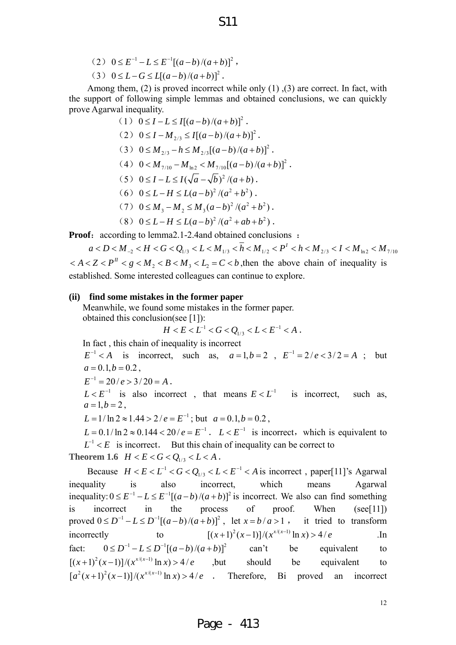- $(2) \quad 0 \le E^{-1} L \le E^{-1} [(a-b)/(a+b)]^2$ ,
- $(3) \quad 0 \le L G \le L[(a-b)/(a+b)]^2$ .

Among them, (2) is proved incorrect while only  $(1)$ ,  $(3)$  are correct. In fact, with the support of following simple lemmas and obtained conclusions, we can quickly prove Agarwal inequality.

(1) 
$$
0 \le I - L \le I[(a-b)/(a+b)]^2
$$
.  
\n(2)  $0 \le I - M_{2/3} \le I[(a-b)/(a+b)]^2$ .  
\n(3)  $0 \le M_{2/3} - h \le M_{2/3}[(a-b)/(a+b)]^2$ .  
\n(4)  $0 < M_{7/10} - M_{\ln 2} < M_{7/10}[(a-b)/(a+b)]^2$ .  
\n(5)  $0 \le I - L \le I(\sqrt{a} - \sqrt{b})^2/(a+b)$ .  
\n(6)  $0 \le L - H \le L(a-b)^2/(a^2+b^2)$ .  
\n(7)  $0 \le M_3 - M_2 \le M_3(a-b)^2/(a^2+b^2)$ .

$$
(8) \ \ 0 \leq L - H \leq L(a - b)^2 / (a^2 + ab + b^2) \ .
$$

**Proof:** according to lemma2.1-2.4and obtained conclusions :

 $a < D < M_{_{-2}} < H < G < Q_{1/3} < L < M_{1/3} < \overline{h} < M_{1/2} < P<sup>I</sup> < h < M_{2/3} < I < M_{\text{ln}2} < M_{7/10}$  $2 < A < Z < P<sup>H</sup>$   $< g < M<sub>2</sub> < B < M<sub>3</sub> < L<sub>2</sub> = C < b$ , then the above chain of inequality is established. Some interested colleagues can continue to explore.

#### **(ii) find some mistakes in the former paper**

Meanwhile, we found some mistakes in the former paper.

obtained this conclusion(see [1]):

$$
H < E < L^{-1} < G < Q_{1/3} < L < E^{-1} < A \; .
$$

In fact , this chain of inequality is incorrect

 $E^{-1} < A$  is incorrect, such as,  $a = 1, b = 2$ ,  $E^{-1} = 2/e < 3/2 = A$ ; but  $a = 0.1, b = 0.2$ 

 $E^{-1} = 20 / e > 3/20 = A$ .

 $L < E^{-1}$  is also incorrect, that means  $E < L^{-1}$  is incorrect, such as,  $a = 1, b = 2$ ,

 $L = 1/\ln 2 \approx 1.44 > 2/e = E^{-1}$ ; but  $a = 0.1, b = 0.2$ .

 $L = 0.1/\ln 2 \approx 0.144 < 20/e = E^{-1}$ .  $L < E^{-1}$  is incorrect, which is equivalent to  $L^{-1} < E$  is incorrect. But this chain of inequality can be correct to **Theorem 1.6**  $H < E < G < Q_{1/3} < L < A$ .

Because  $H < E < L^{-1} < G < Q_{1/3} < L < E^{-1} < A$  is incorrect, paper[11]'s Agarwal inequality is also incorrect, which means Agarwal inequality:  $0 \le E^{-1} - L \le E^{-1}[(a - b)/(a + b)]^2$  is incorrect. We also can find something is incorrect in the process of proof. When (see[11]) proved  $0 \le D^{-1} - L \le D^{-1} [(a - b)/(a + b)]^2$ , let  $x = b/a > 1$ , it tried to transform incorrectly to  $[(x+1)^2(x-1)]/(x^{x/(x-1)} \ln x) > 4/e$  *In* fact:  $0 \le D^{-1} - L \le D^{-1}[(a-b)/(a+b)]^2$  can't be equivalent to  $[(x+1)^2(x-1)]/(x^{x/(x-1)}\ln x) > 4/e$  ,but should be equivalent to  $[a^{2}(x+1)^{2}(x-1)]/(x^{x/(x-1)}\ln x) > 4/e$ . Therefore, Bi proved an incorrect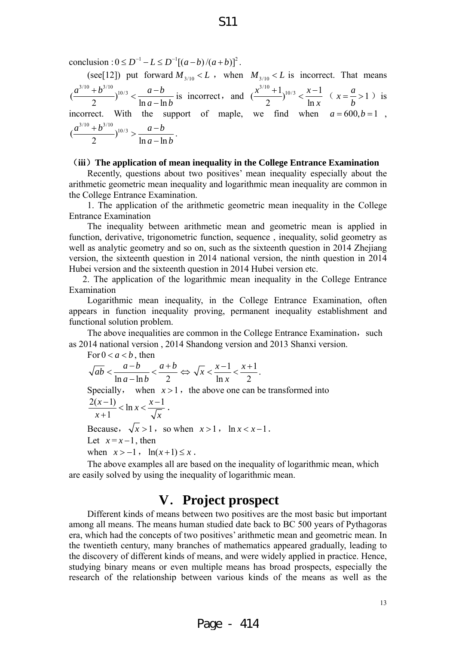conclusion :  $0 \le D^{-1} - L \le D^{-1} [(a - b)/(a + b)]^2$ .

(see[12]) put forward  $M_{3/10} < L$ , when  $M_{3/10} < L$  is incorrect. That means  $\left(\frac{a^{3/10}+b^{3/10}}{2}\right)^{10/3} < \frac{a-b}{\ln a - \ln b}$  $a - \ln b$  $\left(\frac{b^{3/10}}{2}\right)^{10/3} < \frac{a-b}{\ln a - \ln b}$  is incorrect, and  $\left(\frac{x^{3/10} + 1}{2}\right)^{10/3} < \frac{x-1}{\ln x}$ *x*  $\frac{+1}{2}$ <sup>10/3</sup> <  $\frac{x-1}{1}$  ( $x = \frac{a}{1} > 1$ *b*  $=\frac{u}{x} > 1$ ) is incorrect. With the support of maple, we find when  $a = 600, b = 1$ ,  $\left(\frac{a^{3/10}+b^{3/10}}{2}\right)^{10/3} > \frac{a-b}{\ln a - \ln b}$  $a - \ln b$  $\frac{(a+b^{3/10})}{2}$ )<sup>10/3</sup> >  $\frac{a-b}{\ln a-\ln b}$ .

#### (**iii**)**The application of mean inequality in the College Entrance Examination**

Recently, questions about two positives' mean inequality especially about the arithmetic geometric mean inequality and logarithmic mean inequality are common in the College Entrance Examination.

 1. The application of the arithmetic geometric mean inequality in the College Entrance Examination

The inequality between arithmetic mean and geometric mean is applied in function, derivative, trigonometric function, sequence , inequality, solid geometry as well as analytic geometry and so on, such as the sixteenth question in 2014 Zhejiang version, the sixteenth question in 2014 national version, the ninth question in 2014 Hubei version and the sixteenth question in 2014 Hubei version etc.

 2. The application of the logarithmic mean inequality in the College Entrance Examination

Logarithmic mean inequality, in the College Entrance Examination, often appears in function inequality proving, permanent inequality establishment and functional solution problem.

The above inequalities are common in the College Entrance Examination, such as 2014 national version , 2014 Shandong version and 2013 Shanxi version.

For  $0 < a < b$ , then  $\ln a - \ln b$  2  $\overline{ab} < \frac{a-b}{a} < \frac{a+b}{a}$  $a - \ln b$  $\langle \frac{a-b}{\ln a - \ln b} \rangle \langle \frac{a+b}{2} \Longleftrightarrow \sqrt{x} \langle \frac{x-1}{\ln x} \rangle \langle \frac{x+1}{2} \rangle$  $\ln x$  2  $\frac{x}{1}$   $\lt \frac{x-1}{1}$   $\lt \frac{x}{1}$ *x*  $\lt \frac{x-1}{1} < \frac{x+1}{2}$ . Specially, when  $x > 1$ , the above one can be transformed into  $\frac{2(x-1)}{1}$  < ln x <  $\frac{x-1}{x}$ 1  $\frac{x-1}{1}$  < ln x <  $\frac{x}{x}$  $x+1$   $\sqrt{x}$  $\frac{x-1}{x+1}$  < ln x <  $\frac{x-1}{\sqrt{x}}$ . Because,  $\sqrt{x} > 1$ , so when  $x > 1$ , ln  $x < x - 1$ . Let  $x = x - 1$ , then when  $x > -1$ ,  $\ln(x+1) \leq x$ .

The above examples all are based on the inequality of logarithmic mean, which are easily solved by using the inequality of logarithmic mean.

#### **V**.**Project prospect**

Different kinds of means between two positives are the most basic but important among all means. The means human studied date back to BC 500 years of Pythagoras era, which had the concepts of two positives' arithmetic mean and geometric mean. In the twentieth century, many branches of mathematics appeared gradually, leading to the discovery of different kinds of means, and were widely applied in practice. Hence, studying binary means or even multiple means has broad prospects, especially the research of the relationship between various kinds of the means as well as the

S11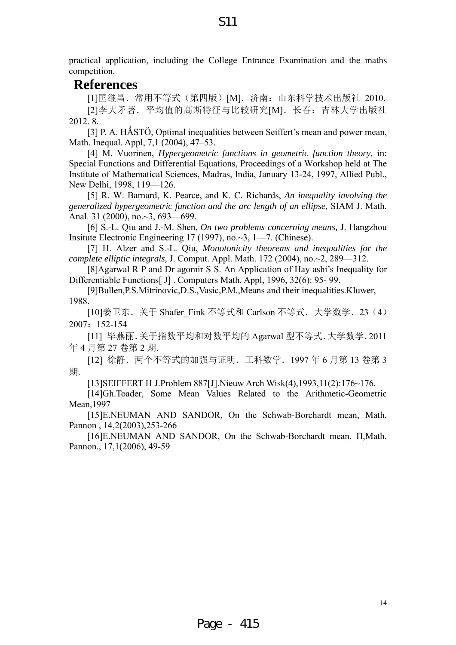practical application, including the College Entrance Examination and the maths competition.

#### **References**

[1]匡继昌.常用不等式(第四版)[M].济南:山东科学技术出版社 2010. [2]李大矛著.平均值的高斯特征与比较研究[M].长春:吉林大学出版社 2012. 8.

[3] P. A. HÅSTÖ, Optimal inequalities between Seiffert's mean and power mean, Math. Inequal. Appl, 7,1 (2004), 47–53.

[4] M. Vuorinen, *Hypergeometric functions in geometric function theory,* in: Special Functions and Differential Equations, Proceedings of a Workshop held at The Institute of Mathematical Sciences, Madras, India, January 13-24, 1997, Allied Publ., New Delhi, 1998, 119—126.

[5] R. W. Barnard, K. Pearce, and K. C. Richards, *An inequality involving the generalized hypergeometric function and the arc length of an ellipse,* SIAM J. Math. Anal. 31 (2000), no.~3, 693—699.

[6] S.-L. Qiu and J.-M. Shen, *On two problems concerning means,* J. Hangzhou Insitute Electronic Engineering 17 (1997), no.~3, 1—7. (Chinese).

[7] H. Alzer and S.-L. Qiu, *Monotonicity theorems and inequalities for the complete elliptic integrals,* J. Comput. Appl. Math. 172 (2004), no.~2, 289—312.

[8]Agarwal R P and Dr agomir S S. An Application of Hay ashi's Inequality for Differentiable Functions[ J] . Computers Math. Appl, 1996, 32(6): 95- 99.

[9]Bullen,P.S.Mitrinovic,D.S.,Vasic,P.M.,Means and their inequalities.Kluwer, 1988.

[10]姜卫东. 关于 Shafer Fink 不等式和 Carlson 不等式. 大学数学. 23 (4) 2007:152-154

[11] 毕燕丽.关于指数平均和对数平均的 Agarwal 型不等式.大学数学.2011 年 4 月第 27 卷第 2 期.

[12] 徐静. 两个不等式的加强与证明. 工科数学. 1997 年 6 月第 13 卷第 3 期.

[13]SEIFFERT H J.Problem 887[J].Nieuw Arch Wisk(4),1993,11(2):176~176.

[14]Gh.Toader, Some Mean Values Related to the Arithmetic-Geometric Mean,1997

[15]E.NEUMAN AND SANDOR, On the Schwab-Borchardt mean, Math. Pannon , 14,2(2003),253-266

[16]E.NEUMAN AND SANDOR, On the Schwab-Borchardt mean, Π,Math. Pannon., 17,1(2006), 49-59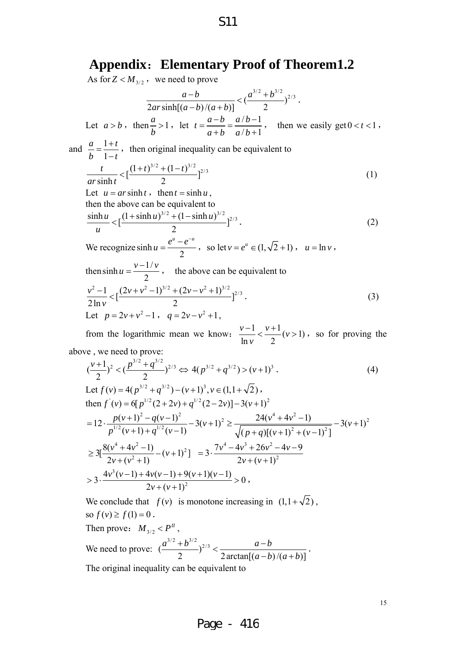## **Appendix**:**Elementary Proof of Theorem1.2**

S11

As for  $Z < M_{3/2}$ , we need to prove

 $\frac{a-b}{2ar\sinh[(a-b)/(a+b)]} < (\frac{a^{3/2}+b^{3/2}}{2})^{2/3}$  $ar \sinh[(a-b)/(a+b)]$  $\frac{-b}{-b)/(a+b)} < (\frac{a^{3/2}+b^{3/2}}{2})^{2/3}.$ Let  $a > b$ , then  $\frac{a}{b} > 1$ *b* >1, let  $t = \frac{a-b}{1} = \frac{a/b-1}{1}$  $/b+1$  $t = \frac{a-b}{a} = \frac{a/b}{a}$  $=\frac{a-b}{a+b}=\frac{a/b-1}{a/b+1}$ , then we easily get  $0 < t < 1$ , and  $\frac{a}{1} = \frac{1}{1}$ 1  $a \quad 1+t$  $\frac{a}{b} = \frac{1+t}{1-t}$ , then original inequality can be equivalent to  $\frac{t}{\sinh t} < \left[\frac{(1+t)^{3/2} + (1-t)^{3/2}}{2}\right]^{2/3}$ *ar t*  $\lt \left[\frac{(1+t)^{3/2}+(1-t)^{3/2}}{2}\right]^{2/3}$  (1) Let  $u = ar \sinh t$ , then  $t = \sinh u$ , then the above can be equivalent to  $\frac{\sinh u}{u} < \left[\frac{(1+\sinh u)^{3/2}+(1-\sinh u)^{3/2}}{2}\right]^{2/3}$ *u*  $\lt [ \frac{(1 + \sinh u)^{3/2} + (1 - \sinh u)^{3/2}}{2}]^{2/3}.$  (2) We recognize sinh 2  $u = \frac{e^u - e^{-u}}{2}$ , so let  $v = e^u \in (1, \sqrt{2} + 1)$ ,  $u = \ln v$ , then sinh  $u = \frac{v - 1}{2}$ 2  $u = \frac{v - 1/v}{2}$ , the above can be equivalent to  $\frac{v^2 - 1}{2 \ln v} < \left[ \frac{(2v + v^2 - 1)^{3/2} + (2v - v^2 + 1)^{3/2}}{2} \right]^{2/3}$ *v*  $-\frac{1}{2} < \left[\frac{(2v+v^2-1)^{3/2}+(2v-v^2+1)^{3/2}}{2}\right]^{2/3}.$  (3) Let  $p = 2v + v^2 - 1$ ,  $q = 2v - v^2 + 1$ , from the logarithmic mean we know:  $\frac{v-1}{\ln v} < \frac{v+1}{2} (v > 1)$ *v*  $\frac{-1}{\epsilon} < \frac{v+1}{2}(v>1)$ , so for proving the above , we need to prove:  $(\frac{v+1}{2})^2 < (\frac{p^{3/2} + q^{3/2}}{2})^{2/3} \Leftrightarrow 4(p^{3/2} + q^{3/2}) > (v+1)^3$ . (4)

Let 
$$
f(v) = 4(p^{3/2} + q^{3/2}) - (v+1)^3
$$
,  $v \in (1, 1 + \sqrt{2})$ ,  
\nthen  $f'(v) = 6[p^{1/2}(2 + 2v) + q^{1/2}(2 - 2v)] - 3(v+1)^2$   
\n
$$
= 12 \cdot \frac{p(v+1)^2 - q(v-1)^2}{p^{1/2}(v+1) + q^{1/2}(v-1)} - 3(v+1)^2 \ge \frac{24(v^4 + 4v^2 - 1)}{\sqrt{(p+q)[(v+1)^2 + (v-1)^2]}} - 3(v+1)^2
$$
\n
$$
\ge 3[\frac{8(v^4 + 4v^2 - 1)}{2v + (v^2 + 1)} - (v+1)^2] = 3 \cdot \frac{7v^4 - 4v^3 + 26v^2 - 4v - 9}{2v + (v+1)^2}
$$
\n
$$
> 3 \cdot \frac{4v^3(v-1) + 4v(v-1) + 9(v+1)(v-1)}{2v + (v+1)^2} > 0,
$$

We conclude that  $f(v)$  is monotone increasing in  $(1,1+\sqrt{2})$ , so  $f(v) \ge f(1) = 0$ .

Then prove: 
$$
M_{3/2} < P^H
$$
,  
We need to prove:  $\left(\frac{a^{3/2} + b^{3/2}}{2}\right)^{2/3} < \frac{a-b}{2 \arctan[(a-b)/(a+b)]}$ .  
The original inequality can be equivalent to